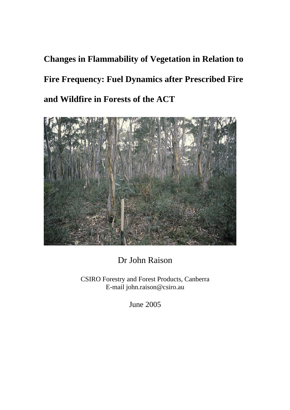**Changes in Flammability of Vegetation in Relation to Fire Frequency: Fuel Dynamics after Prescribed Fire and Wildfire in Forests of the ACT** 



Dr John Raison

CSIRO Forestry and Forest Products, Canberra E-mail john.raison@csiro.au

June 2005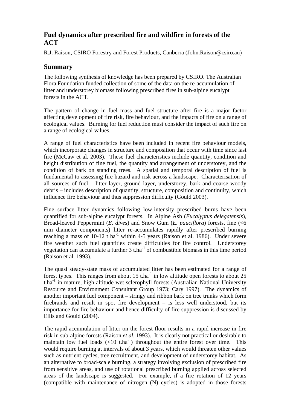# **Fuel dynamics after prescribed fire and wildfire in forests of the ACT**

R.J. Raison, CSIRO Forestry and Forest Products, Canberra (John.Raison@csiro.au)

## **Summary**

The following synthesis of knowledge has been prepared by CSIRO. The Australian Flora Foundation funded collection of some of the data on the re-accumulation of litter and understorey biomass following prescribed fires in sub-alpine eucalypt forests in the ACT.

The pattern of change in fuel mass and fuel structure after fire is a major factor affecting development of fire risk, fire behaviour, and the impacts of fire on a range of ecological values. Burning for fuel reduction must consider the impact of such fire on a range of ecological values.

A range of fuel characteristics have been included in recent fire behaviour models, which incorporate changes in structure and composition that occur with time since last fire (McCaw et al. 2003). These fuel characteristics include quantity, condition and height distribution of fine fuel, the quantity and arrangement of understorey, and the condition of bark on standing trees. A spatial and temporal description of fuel is fundamental to assessing fire hazard and risk across a landscape. Characterisation of all sources of fuel – litter layer, ground layer, understorey, bark and coarse woody debris – includes description of quantity, structure, composition and continuity, which influence fire behaviour and thus suppression difficulty (Gould 2003).

Fine surface litter dynamics following low-intensity prescribed burns have been quantified for sub-alpine eucalypt forests. In Alpine Ash (*Eucalyptus delegatensis*), Broad-leaved Peppermint (*E. dives*) and Snow Gum (*E. pauciflora*) forests, fine (<6 mm diameter components) litter re-accumulates rapidly after prescribed burning reaching a mass of  $10-12$  t ha<sup>-1</sup> within 4-5 years (Raison et al. 1986). Under severe fire weather such fuel quantities create difficulties for fire control. Understorey vegetation can accumulate a further  $3$  t.ha<sup>-1</sup> of combustible biomass in this time period (Raison et al. 1993).

The quasi steady-state mass of accumulated litter has been estimated for a range of forest types. This ranges from about 15 t.ha<sup>-1</sup> in low altitude open forests to about 25  $t.ha^{-1}$  in mature, high-altitude wet sclerophyll forests (Australian National University Resource and Environment Consultant Group 1973; Cary 1997). The dynamics of another important fuel component – stringy and ribbon bark on tree trunks which form firebrands and result in spot fire development – is less well understood, but its importance for fire behaviour and hence difficulty of fire suppression is discussed by Ellis and Gould (2004).

The rapid accumulation of litter on the forest floor results in a rapid increase in fire risk in sub-alpine forests (Raison *et al*. 1993). It is clearly not practical or desirable to maintain low fuel loads  $(<10$  t.ha<sup>-1</sup>) throughout the entire forest over time. This would require burning at intervals of about 3 years, which would threaten other values such as nutrient cycles, tree recruitment, and development of understorey habitat. As an alternative to broad-scale burning, a strategy involving exclusion of prescribed fire from sensitive areas, and use of rotational prescribed burning applied across selected areas of the landscape is suggested. For example, if a fire rotation of 12 years (compatible with maintenance of nitrogen (N) cycles) is adopted in those forests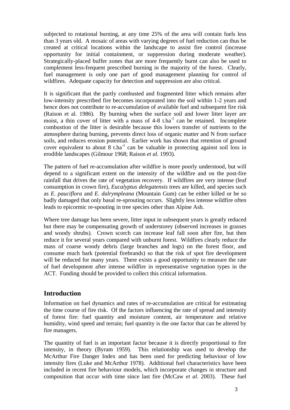subjected to rotational burning, at any time 25% of the area will contain fuels less than 3 years old. A mosaic of areas with varying degrees of fuel reduction can thus be created at critical locations within the landscape to assist fire control (increase opportunity for initial containment, or suppression during moderate weather). Strategically-placed buffer zones that are more frequently burnt can also be used to complement less-frequent prescribed burning in the majority of the forest. Clearly, fuel management is only one part of good management planning for control of wildfires. Adequate capacity for detection and suppression are also critical.

It is significant that the partly combusted and fragmented litter which remains after low-intensity prescribed fire becomes incorporated into the soil within 1-2 years and hence does not contribute to re-accumulation of available fuel and subsequent fire risk (Raison et al. 1986). By burning when the surface soil and lower litter layer are moist, a thin cover of litter with a mass of  $4-8$  t.ha<sup>-1</sup> can be retained. Incomplete combustion of the litter is desirable because this lowers transfer of nutrients to the atmosphere during burning, prevents direct loss of organic matter and N from surface soils, and reduces erosion potential. Earlier work has shown that retention of ground cover equivalent to about 8 t.ha<sup>-1</sup> can be valuable in protecting against soil loss in erodible landscapes (Gilmour 1968; Raison *et al.* 1993).

The pattern of fuel re-accumulation after wildfire is more poorly understood, but will depend to a significant extent on the intensity of the wildfire and on the post-fire rainfall that drives the rate of vegetation recovery. If wildfires are very intense (leaf consumption in crown fire), *Eucalyptus delegatensis* trees are killed, and species such as *E. pauciflora* and *E. dalrympleana* (Mountain Gum) can be either killed or be so badly damaged that only basal re-sprouting occurs. Slightly less intense wildfire often leads to epicormic re-spouting in tree species other than Alpine Ash.

Where tree damage has been severe, litter input in subsequent years is greatly reduced but there may be compensating growth of understorey (observed increases in grasses and woody shrubs). Crown scorch can increase leaf fall soon after fire, but then reduce it for several years compared with unburnt forest. Wildfires clearly reduce the mass of coarse woody debris (large branches and logs) on the forest floor, and consume much bark (potential firebrands) so that the risk of spot fire development will be reduced for many years. There exists a good opportunity to measure the rate of fuel development after intense wildfire in representative vegetation types in the ACT. Funding should be provided to collect this critical information.

### **Introduction**

Information on fuel dynamics and rates of re-accumulation are critical for estimating the time course of fire risk. Of the factors influencing the rate of spread and intensity of forest fire: fuel quantity and moisture content, air temperature and relative humidity, wind speed and terrain; fuel quantity is the one factor that can be altered by fire managers.

The quantity of fuel is an important factor because it is directly proportional to fire intensity, in theory (Byram 1959). This relationship was used to develop the McArthur Fire Danger Index and has been used for predicting behaviour of low intensity fires (Luke and McArthur 1978). Additional fuel characteristics have been included in recent fire behaviour models, which incorporate changes in structure and composition that occur with time since last fire (McCaw *et al.* 2003). These fuel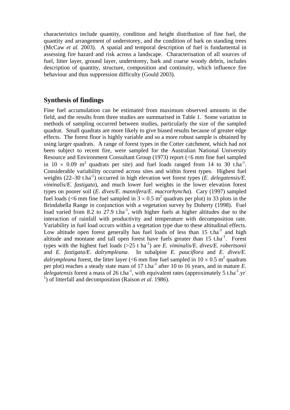characteristics include quantity, condition and height distribution of fine fuel, the quantity and arrangement of understorey, and the condition of bark on standing trees (McCaw *et al.* 2003). A spatial and temporal description of fuel is fundamental in assessing fire hazard and risk across a landscape. Characterisation of all sources of fuel, litter layer, ground layer, understorey, bark and coarse woody debris, includes description of quantity, structure, composition and continuity, which influence fire behaviour and thus suppression difficulty (Gould 2003).

#### **Synthesis of findings**

Fine fuel accumulation can be estimated from maximum observed amounts in the field, and the results from three studies are summarised in Table 1. Some variation in methods of sampling occurred between studies, particularly the size of the sampled quadrat. Small quadrats are more likely to give biased results because of greater edge effects. The forest floor is highly variable and so a more robust sample is obtained by using larger quadrats. A range of forest types in the Cotter catchment, which had not been subject to recent fire, were sampled for the Australian National University Resource and Environment Consultant Group (1973) report (<6 mm fine fuel sampled in 10  $\times$  0.09 m<sup>2</sup> quadrats per site) and fuel loads ranged from 14 to 30 t.ha<sup>-1</sup>. Considerable variability occurred across sites and within forest types. Highest fuel weights (22–30 t.ha<sup>-1</sup>) occurred in high elevation wet forest types (*E. delegatensis/E. viminalis/E. fastigata*), and much lower fuel weights in the lower elevation forest types on poorer soil (*E. dives/E. mannifera/E. macrorhyncha*). Cary (1997) sampled fuel loads (<6 mm fine fuel sampled in  $3 \times 0.5$  m<sup>2</sup> quadrats per plot) in 33 plots in the Brindabella Range in conjunction with a vegetation survey by Doherty (1998). Fuel load varied from 8.2 to  $27.9$  t.ha<sup>-1</sup>, with higher fuels at higher altitudes due to the interaction of rainfall with productivity and temperature with decomposition rate. Variability in fuel load occurs within a vegetation type due to these altitudinal effects. Low altitude open forest generally has fuel loads of less than  $15$  t.ha<sup>-1</sup> and high altitude and montane and tall open forest have fuels greater than  $15$  t.ha<sup>-1</sup>. Forest types with the highest fuel loads ( $>25$  t ha<sup>-1</sup>) are *E. viminalis/E. dives/E. robertsonii* and *E. fastigata/E. dalrympleana*. In subalpine *E. pauciflora* and *E. dives/E. dalrympleana* forest, the litter layer (<6 mm fine fuel sampled in  $10 \times 0.5$  m<sup>2</sup> quadrats per plot) reaches a steady state mass of 17 t.ha<sup>-1</sup> after 10 to 16 years, and in mature *E*.  $delegatensis$  forest a mass of 26 t.ha<sup>-1</sup>, with equivalent rates (approximately 5 t.ha<sup>-1</sup>.yr<sup>-1</sup> <sup>1</sup>) of litterfall and decomposition (Raison *et al.* 1986).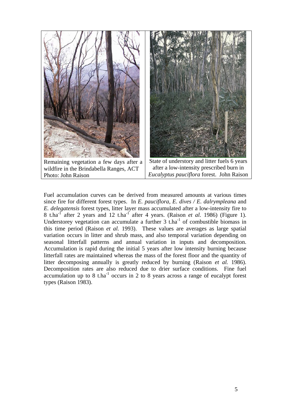

Fuel accumulation curves can be derived from measured amounts at various times since fire for different forest types. In *E. pauciflora, E. dives / E. dalrympleana* and *E. delegatensis* forest types, litter layer mass accumulated after a low-intensity fire to 8 t.ha<sup>-1</sup> after 2 years and 12 t.ha<sup>-1</sup> after 4 years. (Raison *et al.* 1986) (Figure 1). Understorey vegetation can accumulate a further  $3$  t.ha<sup>-1</sup> of combustible biomass in this time period (Raison *et al.* 1993). These values are averages as large spatial variation occurs in litter and shrub mass, and also temporal variation depending on seasonal litterfall patterns and annual variation in inputs and decomposition. Accumulation is rapid during the initial 5 years after low intensity burning because litterfall rates are maintained whereas the mass of the forest floor and the quantity of litter decomposing annually is greatly reduced by burning (Raison *et al.* 1986). Decomposition rates are also reduced due to drier surface conditions. Fine fuel accumulation up to  $8 \text{ t.ha}^{-1}$  occurs in 2 to  $8$  years across a range of eucalypt forest types (Raison 1983).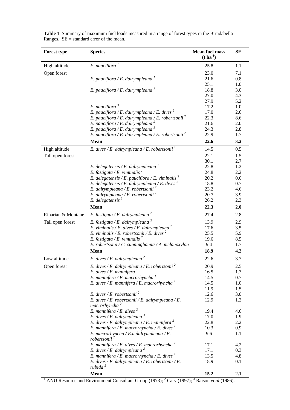| <b>Forest type</b> | <b>Species</b>                                                      | <b>Mean fuel mass</b><br>$(t \, ha^{-1})$ | <b>SE</b> |
|--------------------|---------------------------------------------------------------------|-------------------------------------------|-----------|
| High altitude      | E. pauciflora $^1$                                                  | 25.8                                      | 1.1       |
| Open forest        |                                                                     | 23.0                                      | 7.1       |
|                    | E. pauciflora / E. dalrympleana $^1$                                | 21.6                                      | 0.8       |
|                    |                                                                     | 25.1                                      | 1.0       |
|                    | E. pauciflora / E. dalrympleana <sup>2</sup>                        | 18.8                                      | 3.0       |
|                    |                                                                     | 27.0                                      | 4.3       |
|                    |                                                                     | 27.9                                      | 5.2       |
|                    | E. pauciflora $3$                                                   | 17.2                                      | 1.0       |
|                    | E. pauciflora / E. dalrympleana / E. dives $^2$                     | 17.0                                      | 2.6       |
|                    | E. pauciflora / E. dalrympleana / E. robertsonii <sup>2</sup>       | 22.3                                      | 8.6       |
|                    | E. pauciflora / E. dalrympleana <sup>2</sup>                        | 21.6                                      | 2.0       |
|                    | E. pauciflora / E. dalrympleana <sup>2</sup>                        | 24.3                                      | 2.8       |
|                    | E. pauciflora / E. dalrympleana / E. robertsonii <sup>2</sup>       | 22.9                                      | 1.7       |
|                    | Mean                                                                | 22.6                                      | 3.2       |
| High altitude      | E. dives / E. dalrympleana / E. robertsonii <sup>1</sup>            | 14.5                                      | 0.5       |
| Tall open forest   |                                                                     | 22.1                                      | 1.5       |
|                    |                                                                     | 30.1                                      | 2.7       |
|                    | E. delegatensis / E. dalrympleana $^1$                              | 22.8                                      | 1.2       |
|                    | E. fastigata / E. viminalis                                         | 24.8                                      | 2.2       |
|                    | E. delegatensis / E. pauciflora / E. viminalis $^2$                 | 20.2                                      | 0.6       |
|                    | E. delegatensis / E. dalrympleana / E. dives $^2$                   | 18.8                                      | 0.7       |
|                    | E. dalrympleana / E. robertsonii <sup>2</sup>                       | 23.2                                      | 4.6       |
|                    | E. dalrympleana / E. robertsonii <sup>2</sup>                       | 20.7                                      | 3.9       |
|                    | $E.$ delegatensis $3$                                               | 26.2                                      | 2.3       |
|                    | <b>Mean</b>                                                         | 22.3                                      | 2.0       |
| Riparian & Montane | E. fastigata / E. dalrympleana <sup>2</sup>                         | 27.4                                      | 2.8       |
| Tall open forest   | E. fastigata / E. dalrympleana <sup>2</sup>                         | 13.9                                      | 2.9       |
|                    | E. viminalis / E. dives / E. dalrympleana <sup>2</sup>              | 17.6                                      | 3.5       |
|                    | E. viminalis / E. robertsonii / E. dives $^2$                       | 25.5                                      | 5.9       |
|                    | E. fastigata / E. viminalis <sup>2</sup>                            | 19.6                                      | 8.5       |
|                    | E. robertsonii / C. cunninghamia / A. melanoxylon                   | 9.4                                       | 1.7       |
|                    | Mean                                                                | 18.9                                      | 4.2       |
| Low altitude       | E. dives / E. dalrympleana <sup>2</sup>                             | 22.6                                      | 3.7       |
| Open forest        | E. dives / E. dalrympleana / E. robertsonii <sup>2</sup>            | 20.9                                      | 2.5       |
|                    | E. dives / E. mannifera $^1$                                        | 16.5                                      | 1.3       |
|                    | E. mannifera / E. macrorhyncha $^1$                                 | 14.5                                      | 0.7       |
|                    | E. dives / E. mannifera / E. macrorhyncha $^2$                      | 14.5                                      | 1.0       |
|                    |                                                                     | 11.9                                      | 1.5       |
|                    | E. dives / E. robertsonii <sup>2</sup>                              | 12.6                                      | 3.0       |
|                    | E. dives / E. robertsonii / E. dalrympleana / E.                    | 12.9                                      | 1.2       |
|                    | macrorhyncha <sup>2</sup>                                           |                                           |           |
|                    | E. mannifera / E. dives $^2$                                        | 19.4                                      | 4.6       |
|                    | E. dives / E. dalrympleana <sup>3</sup>                             | 17.0                                      | 1.9       |
|                    | E. dives / E. dalrympleana / E. mannifera $^2$                      | 22.8                                      | 2.2       |
|                    | E. mannifera / E. macrorhyncha / E. dives $^2$                      | 10.3                                      | 0.9       |
|                    | E. macrorhyncha / E.u dalrympleana / E.<br>robertsonii <sup>2</sup> | 9.6                                       | 1.1       |
|                    | E. mannifera / E. dives / E. macrorhyncha <sup>2</sup>              | 17.1                                      | 4.2       |
|                    | E. dives / E. dalrympleana <sup>2</sup>                             | 17.1                                      | 0.3       |
|                    | E. mannifera / E. macrorhyncha / E. dives <sup>2</sup>              | 13.5                                      | 4.8       |
|                    | E. dives / E. dalrympleana / E. robertsonii / E.                    | 18.9                                      | 0.1       |
|                    | rubida <sup>2</sup>                                                 |                                           |           |
|                    | Mean                                                                | 15.2                                      | 2.1       |

**Table 1**. Summary of maximum fuel loads measured in a range of forest types in the Brindabella Ranges.  $SE =$  standard error of the mean.

<sup>1</sup> ANU Resource and Environment Consultant Group (1973); <sup>2</sup> Cary (1997); <sup>3</sup> Raison *et al* (1986).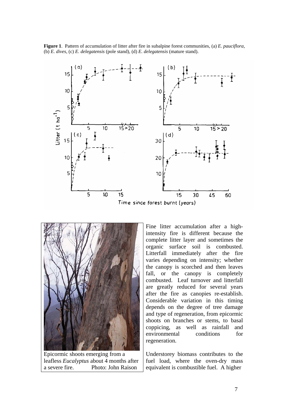**Figure 1**. Pattern of accumulation of litter after fire in subalpine forest communities, (a) *E. pauciflora*, (b) *E. dives*, (c) *E. delegatensis* (pole stand), (d) *E. delegatensis* (mature stand).





Epicormic shoots emerging from a leafless *Eucalyptus* about 4 months after a severe fire. Photo: John Raison

Fine litter accumulation after a highintensity fire is different because the complete litter layer and sometimes the organic surface soil is combusted. Litterfall immediately after the fire varies depending on intensity; whether the canopy is scorched and then leaves fall, or the canopy is completely combusted. Leaf turnover and litterfall are greatly reduced for several years after the fire as canopies re-establish. Considerable variation in this timing depends on the degree of tree damage and type of regeneration, from epicormic shoots on branches or stems, to basal coppicing, as well as rainfall and environmental conditions for regeneration.

Understorey biomass contributes to the fuel load, where the oven-dry mass equivalent is combustible fuel. A higher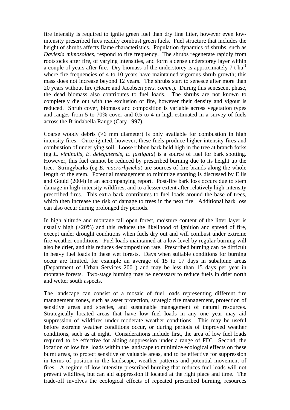fire intensity is required to ignite green fuel than dry fine litter, however even lowintensity prescribed fires readily combust green fuels. Fuel structure that includes the height of shrubs affects flame characteristics. Population dynamics of shrubs, such as *Daviesia mimosoides*, respond to fire frequency. The shrubs regenerate rapidly from rootstocks after fire, of varying intensities, and form a dense understorey layer within a couple of years after fire. Dry biomass of the understorey is approximately  $7 \text{ t} \text{ ha}^{-1}$ where fire frequencies of 4 to 10 years have maintained vigorous shrub growth; this mass does not increase beyond 12 years. The shrubs start to senesce after more than 20 years without fire (Hoare and Jacobsen *pers. comm*.). During this senescent phase, the dead biomass also contributes to fuel loads. The shrubs are not known to completely die out with the exclusion of fire, however their density and vigour is reduced. Shrub cover, biomass and composition is variable across vegetation types and ranges from 5 to 70% cover and 0.5 to 4 m high estimated in a survey of fuels across the Brindabella Range (Cary 1997).

Coarse woody debris  $(56 \text{ mm diameter})$  is only available for combustion in high intensity fires. Once ignited, however, these fuels produce higher intensity fires and combustion of underlying soil. Loose ribbon bark held high in the tree at branch forks (eg *E. viminalis, E. delegatensis, E. fastigata*) is a source of fuel for bark spotting. However, this fuel cannot be reduced by prescribed burning due to its height up the tree. Stringybarks (eg *E. macrorhyncha*) are sources of fire brands along the whole length of the stem. Potential management to minimize spotting is discussed by Ellis and Gould (2004) in an accompanying report. Post-fire bark loss occurs due to stem damage in high-intensity wildfires, and to a lesser extent after relatively high-intensity prescribed fires. This extra bark contributes to fuel loads around the base of trees, which then increase the risk of damage to trees in the next fire. Additional bark loss can also occur during prolonged dry periods.

In high altitude and montane tall open forest, moisture content of the litter layer is usually high (>20%) and this reduces the likelihood of ignition and spread of fire, except under drought conditions when fuels dry out and will combust under extreme fire weather conditions. Fuel loads maintained at a low level by regular burning will also be drier, and this reduces decomposition rate. Prescribed burning can be difficult in heavy fuel loads in these wet forests. Days when suitable conditions for burning occur are limited, for example an average of 15 to 17 days in subalpine areas (Department of Urban Services 2001) and may be less than 15 days per year in montane forests. Two-stage burning may be necessary to reduce fuels in drier north and wetter south aspects.

The landscape can consist of a mosaic of fuel loads representing different fire management zones, such as asset protection, strategic fire management, protection of sensitive areas and species, and sustainable management of natural resources. Strategically located areas that have low fuel loads in any one year may aid suppression of wildfires under moderate weather conditions. This may be useful before extreme weather conditions occur, or during periods of improved weather conditions, such as at night. Considerations include first, the area of low fuel loads required to be effective for aiding suppression under a range of FDI. Second, the location of low fuel loads within the landscape to minimize ecological effects on these burnt areas, to protect sensitive or valuable areas, and to be effective for suppression in terms of position in the landscape, weather patterns and potential movement of fires. A regime of low-intensity prescribed burning that reduces fuel loads will not prevent wildfires, but can aid suppression if located at the right place and time. The trade-off involves the ecological effects of repeated prescribed burning, resources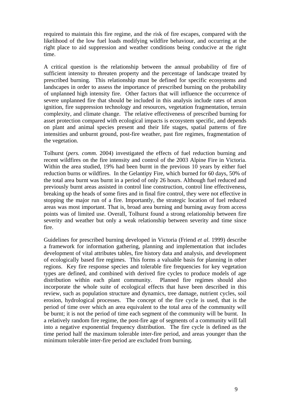required to maintain this fire regime, and the risk of fire escapes, compared with the likelihood of the low fuel loads modifying wildfire behaviour, and occurring at the right place to aid suppression and weather conditions being conducive at the right time.

A critical question is the relationship between the annual probability of fire of sufficient intensity to threaten property and the percentage of landscape treated by prescribed burning. This relationship must be defined for specific ecosystems and landscapes in order to assess the importance of prescribed burning on the probability of unplanned high intensity fire. Other factors that will influence the occurrence of severe unplanned fire that should be included in this analysis include rates of arson ignition, fire suppression technology and resources, vegetation fragmentation, terrain complexity, and climate change. The relative effectiveness of prescribed burning for asset protection compared with ecological impacts is ecosystem specific, and depends on plant and animal species present and their life stages, spatial patterns of fire intensities and unburnt ground, post-fire weather, past fire regimes, fragmentation of the vegetation.

*comm.* 2004) investigated the effects of fuel reduction burning and Tolhurst (*pers.*  recent wildfires on the fire intensity and control of the 2003 Alpine Fire in Victoria. Within the area studied, 19% had been burnt in the previous 10 years by either fuel reduction burns or wildfires. In the Gelantipy Fire, which burned for 60 days, 50% of the total area burnt was burnt in a period of only 26 hours. Although fuel reduced and previously burnt areas assisted in control line construction, control line effectiveness, breaking up the heads of some fires and in final fire control, they were not effective in stopping the major run of a fire. Importantly, the strategic location of fuel reduced areas was most important. That is, broad area burning and burning away from access points was of limited use. Overall, Tolhurst found a strong relationship between fire severity and weather but only a weak relationship between severity and time since fire.

Guidelines for prescribed burning developed in Victoria (Friend *et al.* 1999) describe a framework for information gathering, planning and implementation that includes development of vital attributes tables, fire history data and analysis, and development of ecologically based fire regimes. This forms a valuable basis for planning in other regions. Key fire response species and tolerable fire frequencies for key vegetation types are defined, and combined with derived fire cycles to produce models of age distribution within each plant community. Planned fire regimes should also incorporate the whole suite of ecological effects that have been described in this review, such as population structure and dynamics, tree damage, nutrient cycles, soil erosion, hydrological processes. The concept of the fire cycle is used, that is the period of time over which an area equivalent to the total area of the community will be burnt; it is not the period of time each segment of the community will be burnt. In a relatively random fire regime, the post-fire age of segments of a community will fall into a negative exponential frequency distribution. The fire cycle is defined as the time period half the maximum tolerable inter-fire period, and areas younger than the minimum tolerable inter-fire period are excluded from burning.